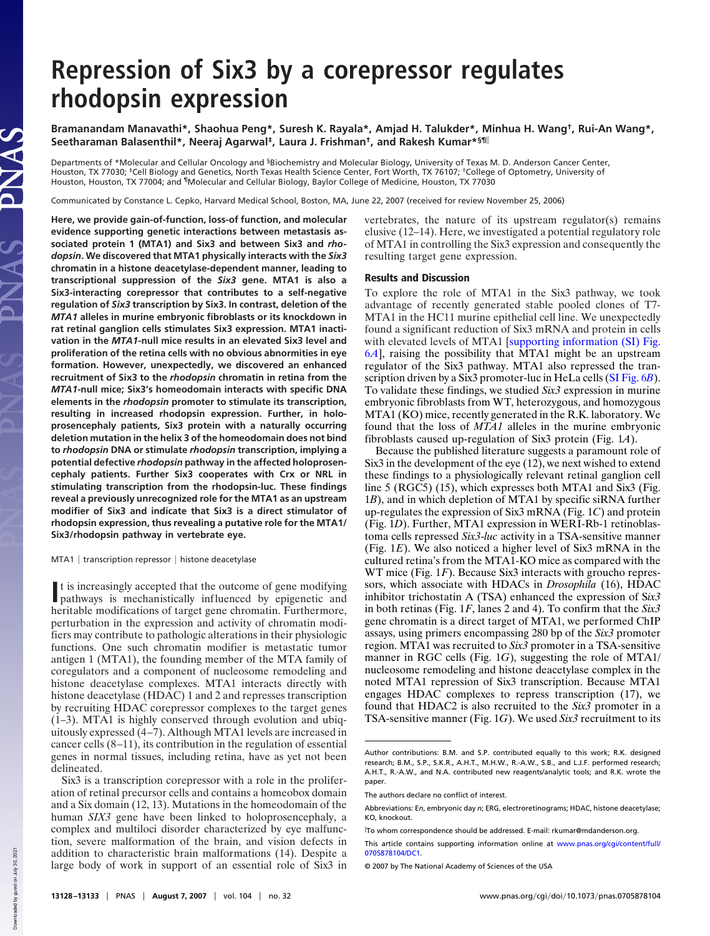## **Repression of Six3 by a corepressor regulates rhodopsin expression**

**Bramanandam Manavathi\*, Shaohua Peng\*, Suresh K. Rayala\*, Amjad H. Talukder\*, Minhua H. Wang† , Rui-An Wang\*, Seetharaman Balasenthil\*, Neeraj Agarwal‡ , Laura J. Frishman† , and Rakesh Kumar\*§¶**

Departments of \*Molecular and Cellular Oncology and <sup>§</sup>Biochemistry and Molecular Biology, University of Texas M. D. Anderson Cancer Center,<br>Houston, TX 77030; ‡Cell Biology and Genetics, North Texas Health Science Center, Houston, Houston, TX 77004; and ¶Molecular and Cellular Biology, Baylor College of Medicine, Houston, TX 77030

Communicated by Constance L. Cepko, Harvard Medical School, Boston, MA, June 22, 2007 (received for review November 25, 2006)

**Here, we provide gain-of-function, loss-of function, and molecular evidence supporting genetic interactions between metastasis associated protein 1 (MTA1) and Six3 and between Six3 and** *rhodopsin***. We discovered that MTA1 physically interacts with the** *Six3* **chromatin in a histone deacetylase-dependent manner, leading to transcriptional suppression of the** *Six3* **gene. MTA1 is also a Six3-interacting corepressor that contributes to a self-negative regulation of** *Six3* **transcription by Six3. In contrast, deletion of the** *MTA1* **alleles in murine embryonic fibroblasts or its knockdown in rat retinal ganglion cells stimulates Six3 expression. MTA1 inactivation in the** *MTA1***-null mice results in an elevated Six3 level and proliferation of the retina cells with no obvious abnormities in eye formation. However, unexpectedly, we discovered an enhanced recruitment of Six3 to the** *rhodopsin* **chromatin in retina from the** *MTA1***-null mice; Six3's homeodomain interacts with specific DNA elements in the** *rhodopsin* **promoter to stimulate its transcription, resulting in increased rhodopsin expression. Further, in holoprosencephaly patients, Six3 protein with a naturally occurring deletion mutation in the helix 3 of the homeodomain does not bind to** *rhodopsin* **DNA or stimulate** *rhodopsin* **transcription, implying a potential defective** *rhodopsin* **pathway in the affected holoprosencephaly patients. Further Six3 cooperates with Crx or NRL in stimulating transcription from the rhodopsin-luc. These findings reveal a previously unrecognized role for the MTA1 as an upstream modifier of Six3 and indicate that Six3 is a direct stimulator of rhodopsin expression, thus revealing a putative role for the MTA1/ Six3/rhodopsin pathway in vertebrate eye.**

MTA1 | transcription repressor | histone deacetylase

It is increasingly accepted that the outcome of gene modifying<br>
pathways is mechanistically influenced by epigenetic and pathways is mechanistically influenced by epigenetic and heritable modifications of target gene chromatin. Furthermore, perturbation in the expression and activity of chromatin modifiers may contribute to pathologic alterations in their physiologic functions. One such chromatin modifier is metastatic tumor antigen 1 (MTA1), the founding member of the MTA family of coregulators and a component of nucleosome remodeling and histone deacetylase complexes. MTA1 interacts directly with histone deacetylase (HDAC) 1 and 2 and represses transcription by recruiting HDAC corepressor complexes to the target genes (1–3). MTA1 is highly conserved through evolution and ubiquitously expressed (4–7). Although MTA1 levels are increased in cancer cells (8–11), its contribution in the regulation of essential genes in normal tissues, including retina, have as yet not been delineated.

vertebrates, the nature of its upstream regulator(s) remains elusive (12–14). Here, we investigated a potential regulatory role of MTA1 in controlling the Six3 expression and consequently the resulting target gene expression.

## Results and Discussion

To explore the role of MTA1 in the Six3 pathway, we took advantage of recently generated stable pooled clones of T7- MTA1 in the HC11 murine epithelial cell line. We unexpectedly found a significant reduction of Six3 mRNA and protein in cells with elevated levels of MTA1 [supporting information (SI) Fig. 6*A*], raising the possibility that MTA1 might be an upstream regulator of the Six3 pathway. MTA1 also repressed the transcription driven by a Six3 promoter-luc in HeLa cells (SI Fig. 6*B*). To validate these findings, we studied *Six3* expression in murine embryonic fibroblasts from WT, heterozygous, and homozygous MTA1 (KO) mice, recently generated in the R.K. laboratory. We found that the loss of *MTA1* alleles in the murine embryonic fibroblasts caused up-regulation of Six3 protein (Fig. 1*A*).

Because the published literature suggests a paramount role of Six3 in the development of the eye (12), we next wished to extend these findings to a physiologically relevant retinal ganglion cell line 5 (RGC5) (15), which expresses both MTA1 and Six3 (Fig. 1*B*), and in which depletion of MTA1 by specific siRNA further up-regulates the expression of Six3 mRNA (Fig. 1*C*) and protein (Fig. 1*D*). Further, MTA1 expression in WERI-Rb-1 retinoblastoma cells repressed *Six3*-*luc* activity in a TSA-sensitive manner (Fig. 1*E*). We also noticed a higher level of Six3 mRNA in the cultured retina's from the MTA1-KO mice as compared with the WT mice (Fig. 1*F*). Because Six3 interacts with groucho repressors, which associate with HDACs in *Drosophila* (16), HDAC inhibitor trichostatin A (TSA) enhanced the expression of S*ix3* in both retinas (Fig. 1*F*, lanes 2 and 4). To confirm that the *Six3* gene chromatin is a direct target of MTA1, we performed ChIP assays, using primers encompassing 280 bp of the *Six3* promoter region. MTA1 was recruited to *Six3* promoter in a TSA-sensitive manner in RGC cells (Fig. 1*G*), suggesting the role of MTA1/ nucleosome remodeling and histone deacetylase complex in the noted MTA1 repression of Six3 transcription. Because MTA1 engages HDAC complexes to repress transcription (17), we found that HDAC2 is also recruited to the *Six3* promoter in a TSA-sensitive manner (Fig. 1*G*). We used *Six3* recruitment to its

Six3 is a transcription corepressor with a role in the proliferation of retinal precursor cells and contains a homeobox domain and a Six domain (12, 13). Mutations in the homeodomain of the human *SIX3* gene have been linked to holoprosencephaly, a complex and multiloci disorder characterized by eye malfunction, severe malformation of the brain, and vision defects in addition to characteristic brain malformations (14). Despite a large body of work in support of an essential role of Six3 in

Author contributions: B.M. and S.P. contributed equally to this work; R.K. designed research; B.M., S.P., S.K.R., A.H.T., M.H.W., R.-A.W., S.B., and L.J.F. performed research; A.H.T., R.-A.W., and N.A. contributed new reagents/analytic tools; and R.K. wrote the paper.

The authors declare no conflict of interest.

Abbreviations: E*n*, embryonic day *n*; ERG, electroretinograms; HDAC, histone deacetylase; KO, knockout.

To whom correspondence should be addressed. E-mail: rkumar@mdanderson.org.

This article contains supporting information online at www.pnas.org/cgi/content/full/ 0705878104/DC1.

<sup>© 2007</sup> by The National Academy of Sciences of the USA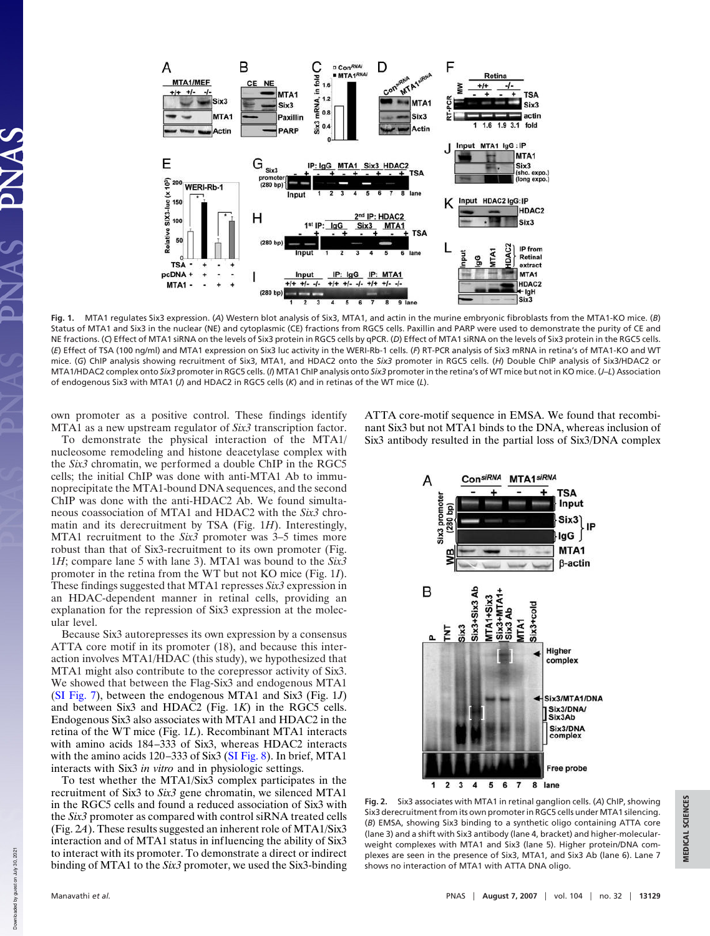

**Fig. 1.** MTA1 regulates Six3 expression. (*A*) Western blot analysis of Six3, MTA1, and actin in the murine embryonic fibroblasts from the MTA1-KO mice. (*B*) Status of MTA1 and Six3 in the nuclear (NE) and cytoplasmic (CE) fractions from RGC5 cells. Paxillin and PARP were used to demonstrate the purity of CE and NE fractions. (*C*) Effect of MTA1 siRNA on the levels of Six3 protein in RGC5 cells by qPCR. (*D*) Effect of MTA1 siRNA on the levels of Six3 protein in the RGC5 cells. (*E*) Effect of TSA (100 ng/ml) and MTA1 expression on Six3 luc activity in the WERI-Rb-1 cells. (*F*) RT-PCR analysis of Six3 mRNA in retina's of MTA1-KO and WT mice. (*G*) ChIP analysis showing recruitment of Six3, MTA1, and HDAC2 onto the *Six3* promoter in RGC5 cells. (*H*) Double ChIP analysis of Six3/HDAC2 or MTA1/HDAC2 complex onto *Six3* promoter in RGC5 cells. (*I*) MTA1 ChIP analysis onto *Six3* promoter in the retina's of WT mice but not in KO mice. (*J*–*L*) Association of endogenous Six3 with MTA1 (*J*) and HDAC2 in RGC5 cells (*K*) and in retinas of the WT mice (*L*).

own promoter as a positive control. These findings identify MTA1 as a new upstream regulator of *Six3* transcription factor.

To demonstrate the physical interaction of the MTA1/ nucleosome remodeling and histone deacetylase complex with the *Six3* chromatin, we performed a double ChIP in the RGC5 cells; the initial ChIP was done with anti-MTA1 Ab to immunoprecipitate the MTA1-bound DNA sequences, and the second ChIP was done with the anti-HDAC2 Ab. We found simultaneous coassociation of MTA1 and HDAC2 with the *Six3* chromatin and its derecruitment by TSA (Fig. 1*H*). Interestingly, MTA1 recruitment to the *Six3* promoter was 3–5 times more robust than that of Six3-recruitment to its own promoter (Fig. 1*H*; compare lane 5 with lane 3). MTA1 was bound to the *Six3* promoter in the retina from the WT but not KO mice (Fig. 1*I*). These findings suggested that MTA1 represses *Six3* expression in an HDAC-dependent manner in retinal cells, providing an explanation for the repression of Six3 expression at the molecular level.

Because Six3 autorepresses its own expression by a consensus ATTA core motif in its promoter (18), and because this interaction involves MTA1/HDAC (this study), we hypothesized that MTA1 might also contribute to the corepressor activity of Six3. We showed that between the Flag-Six3 and endogenous MTA1 (SI Fig. 7), between the endogenous MTA1 and Six3 (Fig. 1*J*) and between Six3 and HDAC2 (Fig. 1*K*) in the RGC5 cells. Endogenous Six3 also associates with MTA1 and HDAC2 in the retina of the WT mice (Fig. 1*L*). Recombinant MTA1 interacts with amino acids 184–333 of Six3, whereas HDAC2 interacts with the amino acids 120–333 of Six3 (SI Fig. 8). In brief, MTA1 interacts with Six3 *in vitro* and in physiologic settings.

To test whether the MTA1/Six3 complex participates in the recruitment of Six3 to *Six3* gene chromatin, we silenced MTA1 in the RGC5 cells and found a reduced association of Six3 with the *Six3* promoter as compared with control siRNA treated cells (Fig. 2*A*). These results suggested an inherent role of MTA1/Six3 interaction and of MTA1 status in influencing the ability of Six3 to interact with its promoter. To demonstrate a direct or indirect binding of MTA1 to the *Six3* promoter, we used the Six3-binding

ATTA core-motif sequence in EMSA. We found that recombinant Six3 but not MTA1 binds to the DNA, whereas inclusion of Six3 antibody resulted in the partial loss of Six3/DNA complex



**Fig. 2.** Six3 associates with MTA1 in retinal ganglion cells. (*A*) ChIP, showing Six3 derecruitment from its own promoter in RGC5 cells under MTA1 silencing. (*B*) EMSA, showing Six3 binding to a synthetic oligo containing ATTA core (lane 3) and a shift with Six3 antibody (lane 4, bracket) and higher-molecularweight complexes with MTA1 and Six3 (lane 5). Higher protein/DNA complexes are seen in the presence of Six3, MTA1, and Six3 Ab (lane 6). Lane 7 shows no interaction of MTA1 with ATTA DNA oligo.

Downloaded by guest on July 30, 2021

Down

loaded by guest on July 30, 2021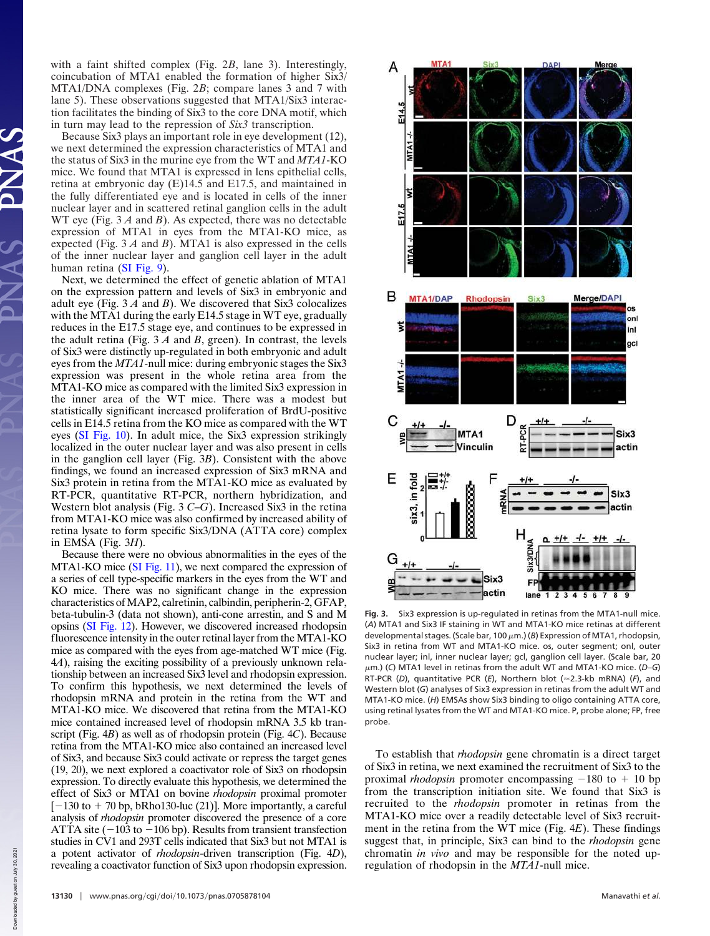with a faint shifted complex (Fig. 2*B*, lane 3). Interestingly, coincubation of MTA1 enabled the formation of higher Six3/ MTA1/DNA complexes (Fig. 2*B*; compare lanes 3 and 7 with lane 5). These observations suggested that MTA1/Six3 interaction facilitates the binding of Six3 to the core DNA motif, which in turn may lead to the repression of *Six3* transcription.

Because Six3 plays an important role in eye development (12), we next determined the expression characteristics of MTA1 and the status of Six3 in the murine eye from the WT and *MTA1*-KO mice. We found that MTA1 is expressed in lens epithelial cells, retina at embryonic day (E)14.5 and E17.5, and maintained in the fully differentiated eye and is located in cells of the inner nuclear layer and in scattered retinal ganglion cells in the adult WT eye (Fig. 3 *A* and *B*). As expected, there was no detectable expression of MTA1 in eyes from the MTA1-KO mice, as expected (Fig. 3 *A* and *B*). MTA1 is also expressed in the cells of the inner nuclear layer and ganglion cell layer in the adult human retina (SI Fig. 9).

Next, we determined the effect of genetic ablation of MTA1 on the expression pattern and levels of Six3 in embryonic and adult eye (Fig. 3 *A* and *B*). We discovered that Six3 colocalizes with the MTA1 during the early E14.5 stage in WT eye, gradually reduces in the E17.5 stage eye, and continues to be expressed in the adult retina (Fig. 3 *A* and *B*, green). In contrast, the levels of Six3 were distinctly up-regulated in both embryonic and adult eyes from the *MTA1*-null mice: during embryonic stages the Six3 expression was present in the whole retina area from the MTA1-KO mice as compared with the limited Six3 expression in the inner area of the WT mice. There was a modest but statistically significant increased proliferation of BrdU-positive cells in E14.5 retina from the KO mice as compared with the WT eyes (SI Fig. 10). In adult mice, the Six3 expression strikingly localized in the outer nuclear layer and was also present in cells in the ganglion cell layer (Fig. 3*B*). Consistent with the above findings, we found an increased expression of Six3 mRNA and Six3 protein in retina from the MTA1-KO mice as evaluated by RT-PCR, quantitative RT-PCR, northern hybridization, and Western blot analysis (Fig. 3 *C*–*G*). Increased Six3 in the retina from MTA1-KO mice was also confirmed by increased ability of retina lysate to form specific Six3/DNA (ATTA core) complex in EMSA (Fig. 3*H*).

Because there were no obvious abnormalities in the eyes of the MTA1-KO mice (SI Fig. 11), we next compared the expression of a series of cell type-specific markers in the eyes from the WT and KO mice. There was no significant change in the expression characteristics of MAP2, calretinin, calbindin, peripherin-2, GFAP, beta-tubulin-3 (data not shown), anti-cone arrestin, and S and M opsins (SI Fig. 12). However, we discovered increased rhodopsin fluorescence intensity in the outer retinal layer from the MTA1-KO mice as compared with the eyes from age-matched WT mice (Fig. 4*A*), raising the exciting possibility of a previously unknown relationship between an increased Six3 level and rhodopsin expression. To confirm this hypothesis, we next determined the levels of rhodopsin mRNA and protein in the retina from the WT and MTA1-KO mice. We discovered that retina from the MTA1-KO mice contained increased level of rhodopsin mRNA 3.5 kb transcript (Fig. 4*B*) as well as of rhodopsin protein (Fig. 4*C*). Because retina from the MTA1-KO mice also contained an increased level of Six3, and because Six3 could activate or repress the target genes (19, 20), we next explored a coactivator role of Six3 on rhodopsin expression. To directly evaluate this hypothesis, we determined the effect of Six3 or MTA1 on bovine *rhodopsin* proximal promoter  $[-130$  to  $+70$  bp, bRho130-luc (21)]. More importantly, a careful analysis of *rhodopsin* promoter discovered the presence of a core ATTA site  $(-103$  to  $-106$  bp). Results from transient transfection studies in CV1 and 293T cells indicated that Six3 but not MTA1 is a potent activator of *rhodopsin*-driven transcription (Fig. 4*D*), revealing a coactivator function of Six3 upon rhodopsin expression.



**Fig. 3.** Six3 expression is up-regulated in retinas from the MTA1-null mice. (*A*) MTA1 and Six3 IF staining in WT and MTA1-KO mice retinas at different developmental stages. (Scale bar, 100 μm.) (*B*) Expression of MTA1, rhodopsin, Six3 in retina from WT and MTA1-KO mice. os, outer segment; onl, outer nuclear layer; inl, inner nuclear layer; gcl, ganglion cell layer. (Scale bar, 20 m.) (*C*) MTA1 level in retinas from the adult WT and MTA1-KO mice. (*D*–*G*) RT-PCR (D), quantitative PCR (E), Northern blot (~2.3-kb mRNA) (F), and Western blot (*G*) analyses of Six3 expression in retinas from the adult WT and MTA1-KO mice. (*H*) EMSAs show Six3 binding to oligo containing ATTA core, using retinal lysates from the WT and MTA1-KO mice. P, probe alone; FP, free probe.

To establish that *rhodopsin* gene chromatin is a direct target of Six3 in retina, we next examined the recruitment of Six3 to the proximal *rhodopsin* promoter encompassing  $-180$  to  $+10$  bp from the transcription initiation site. We found that Six3 is recruited to the *rhodopsin* promoter in retinas from the MTA1-KO mice over a readily detectable level of Six3 recruitment in the retina from the WT mice (Fig. 4*E*). These findings suggest that, in principle, Six3 can bind to the *rhodopsin* gene chromatin *in vivo* and may be responsible for the noted upregulation of rhodopsin in the *MTA1*-null mice.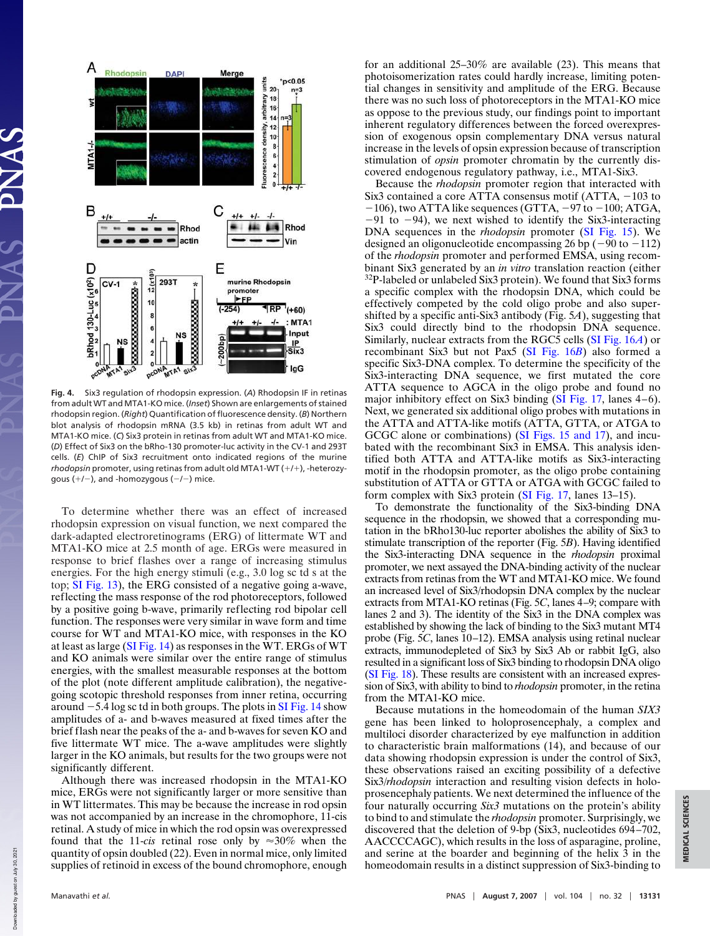

**Fig. 4.** Six3 regulation of rhodopsin expression. (*A*) Rhodopsin IF in retinas from adult WT and MTA1-KO mice. (*Inset*) Shown are enlargements of stained rhodopsin region. (*Right*) Quantification of fluorescence density. (*B*) Northern blot analysis of rhodopsin mRNA (3.5 kb) in retinas from adult WT and MTA1-KO mice. (*C*) Six3 protein in retinas from adult WT and MTA1-KO mice. (*D*) Effect of Six3 on the bRho-130 promoter-luc activity in the CV-1 and 293T cells. (*E*) ChIP of Six3 recruitment onto indicated regions of the murine rhodopsin promoter, using retinas from adult old MTA1-WT (+/+), -heterozygous  $(+/-)$ , and -homozygous  $(-/-)$  mice.

To determine whether there was an effect of increased rhodopsin expression on visual function, we next compared the dark-adapted electroretinograms (ERG) of littermate WT and MTA1-KO mice at 2.5 month of age. ERGs were measured in response to brief flashes over a range of increasing stimulus energies. For the high energy stimuli (e.g., 3.0 log sc td s at the top; SI Fig. 13), the ERG consisted of a negative going a-wave, reflecting the mass response of the rod photoreceptors, followed by a positive going b-wave, primarily reflecting rod bipolar cell function. The responses were very similar in wave form and time course for WT and MTA1-KO mice, with responses in the KO at least as large (SI Fig. 14) as responses in the WT. ERGs of WT and KO animals were similar over the entire range of stimulus energies, with the smallest measurable responses at the bottom of the plot (note different amplitude calibration), the negativegoing scotopic threshold responses from inner retina, occurring around  $-5.4$  log sc td in both groups. The plots in SI Fig. 14 show amplitudes of a- and b-waves measured at fixed times after the brief flash near the peaks of the a- and b-waves for seven KO and five littermate WT mice. The a-wave amplitudes were slightly larger in the KO animals, but results for the two groups were not significantly different.

Although there was increased rhodopsin in the MTA1-KO mice, ERGs were not significantly larger or more sensitive than in WT littermates. This may be because the increase in rod opsin was not accompanied by an increase in the chromophore, 11-cis retinal. A study of mice in which the rod opsin was overexpressed found that the 11-*cis* retinal rose only by  $\approx 30\%$  when the quantity of opsin doubled (22). Even in normal mice, only limited supplies of retinoid in excess of the bound chromophore, enough for an additional 25–30% are available (23). This means that photoisomerization rates could hardly increase, limiting potential changes in sensitivity and amplitude of the ERG. Because there was no such loss of photoreceptors in the MTA1-KO mice as oppose to the previous study, our findings point to important inherent regulatory differences between the forced overexpression of exogenous opsin complementary DNA versus natural increase in the levels of opsin expression because of transcription stimulation of *opsin* promoter chromatin by the currently discovered endogenous regulatory pathway, i.e., MTA1-Six3.

Because the *rhodopsin* promoter region that interacted with Six3 contained a core ATTA consensus motif  $(ATTA, -103$  to  $-106$ ), two ATTA like sequences (GTTA,  $-97$  to  $-100$ ; ATGA,  $-91$  to  $-94$ ), we next wished to identify the Six3-interacting DNA sequences in the *rhodopsin* promoter (SI Fig. 15). We designed an oligonucleotide encompassing 26 bp  $(-90 \text{ to } -112)$ of the *rhodopsin* promoter and performed EMSA, using recombinant Six3 generated by an *in vitro* translation reaction (either <sup>32</sup>P-labeled or unlabeled Six3 protein). We found that Six3 forms a specific complex with the rhodopsin DNA, which could be effectively competed by the cold oligo probe and also supershifted by a specific anti-Six3 antibody (Fig. 5*A*), suggesting that Six3 could directly bind to the rhodopsin DNA sequence. Similarly, nuclear extracts from the RGC5 cells (SI Fig. 16*A*) or recombinant Six3 but not Pax5 (SI Fig. 16*B*) also formed a specific Six3-DNA complex. To determine the specificity of the Six3-interacting DNA sequence, we first mutated the core ATTA sequence to AGCA in the oligo probe and found no major inhibitory effect on Six3 binding (SI Fig. 17, lanes 4–6). Next, we generated six additional oligo probes with mutations in the ATTA and ATTA-like motifs (ATTA, GTTA, or ATGA to GCGC alone or combinations) (SI Figs. 15 and 17), and incubated with the recombinant Six3 in EMSA. This analysis identified both ATTA and ATTA-like motifs as Six3-interacting motif in the rhodopsin promoter, as the oligo probe containing substitution of ATTA or GTTA or ATGA with GCGC failed to form complex with Six3 protein (SI Fig. 17, lanes 13–15).

To demonstrate the functionality of the Six3-binding DNA sequence in the rhodopsin, we showed that a corresponding mutation in the bRho130-luc reporter abolishes the ability of Six3 to stimulate transcription of the reporter (Fig. 5*B*). Having identified the Six3-interacting DNA sequence in the *rhodopsin* proximal promoter, we next assayed the DNA-binding activity of the nuclear extracts from retinas from the WT and MTA1-KO mice. We found an increased level of Six3/rhodopsin DNA complex by the nuclear extracts from MTA1-KO retinas (Fig. 5*C*, lanes 4–9; compare with lanes 2 and 3). The identity of the Six3 in the DNA complex was established by showing the lack of binding to the Six3 mutant MT4 probe (Fig. 5*C*, lanes 10–12). EMSA analysis using retinal nuclear extracts, immunodepleted of Six3 by Six3 Ab or rabbit IgG, also resulted in a significant loss of Six3 binding to rhodopsin DNA oligo (SI Fig. 18). These results are consistent with an increased expression of Six3, with ability to bind to *rhodopsin* promoter, in the retina from the MTA1-KO mice.

Because mutations in the homeodomain of the human *SIX3* gene has been linked to holoprosencephaly, a complex and multiloci disorder characterized by eye malfunction in addition to characteristic brain malformations (14), and because of our data showing rhodopsin expression is under the control of Six3, these observations raised an exciting possibility of a defective Six3/*rhodopsin* interaction and resulting vision defects in holoprosencephaly patients. We next determined the influence of the four naturally occurring *Six3* mutations on the protein's ability to bind to and stimulate the *rhodopsin* promoter. Surprisingly, we discovered that the deletion of 9-bp (Six3, nucleotides 694–702, AACCCCAGC), which results in the loss of asparagine, proline, and serine at the boarder and beginning of the helix 3 in the homeodomain results in a distinct suppression of Six3-binding to

Downloaded by guest on July 30, 2021

Down

loaded by guest on July 30,

2021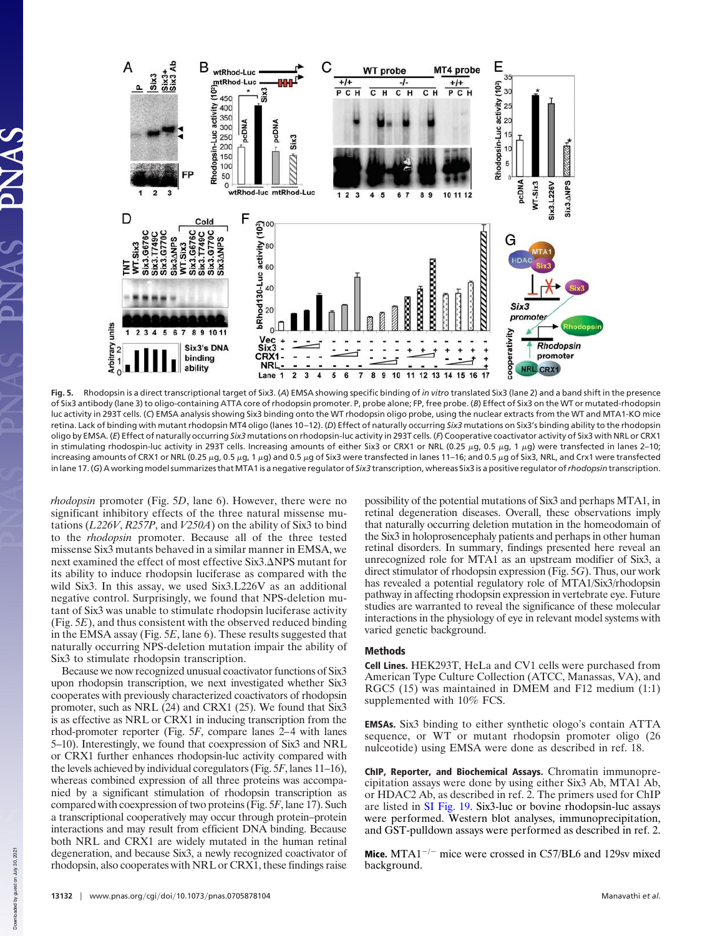

**Fig. 5.** Rhodopsin is a direct transcriptional target of Six3. (*A*) EMSA showing specific binding of *in vitro* translated Six3 (lane 2) and a band shift in the presence of Six3 antibody (lane 3) to oligo-containing ATTA core of rhodopsin promoter. P, probe alone; FP, free probe. (*B*) Effect of Six3 on the WT or mutated-rhodopsin luc activity in 293T cells. (*C*) EMSA analysis showing Six3 binding onto the WT rhodopsin oligo probe, using the nuclear extracts from the WT and MTA1-KO mice retina. Lack of binding with mutant rhodopsin MT4 oligo (lanes 10 –12). (*D*) Effect of naturally occurring *Six3* mutations on Six3's binding ability to the rhodopsin oligo by EMSA. (*E*) Effect of naturally occurring *Six3* mutations on rhodopsin-luc activity in 293T cells. (*F*) Cooperative coactivator activity of Six3 with NRL or CRX1 in stimulating rhodospin-luc activity in 293T cells. Increasing amounts of either Six3 or CRX1 or NRL (0.25  $\mu$ g, 0.5  $\mu$ g, 1  $\mu$ g) were transfected in lanes 2–10; increasing amounts of CRX1 or NRL (0.25 µg, 0.5 µg, 1 µg) and 0.5 µg of Six3 were transfected in lanes 11-16; and 0.5 µg of Six3, NRL, and Crx1 were transfected in lane 17. (*G*) A working model summarizes thatMTA1 is a negative regulator of *Six3* transcription, whereas Six3 is a positive regulator of*rhodopsin* transcription.

*rhodopsin* promoter (Fig. 5*D*, lane 6). However, there were no significant inhibitory effects of the three natural missense mutations (*L226V*, *R257P*, and *V250A*) on the ability of Six3 to bind to the *rhodopsin* promoter. Because all of the three tested missense Six3 mutants behaved in a similar manner in EMSA, we next examined the effect of most effective Six3. $\Delta$ NPS mutant for its ability to induce rhodopsin luciferase as compared with the wild Six3. In this assay, we used Six3.L226V as an additional negative control. Surprisingly, we found that NPS-deletion mutant of Six3 was unable to stimulate rhodopsin luciferase activity (Fig. 5*E*), and thus consistent with the observed reduced binding in the EMSA assay (Fig. 5*E*, lane 6). These results suggested that naturally occurring NPS-deletion mutation impair the ability of Six3 to stimulate rhodopsin transcription.

Because we now recognized unusual coactivator functions of Six3 upon rhodopsin transcription, we next investigated whether Six3 cooperates with previously characterized coactivators of rhodopsin promoter, such as NRL (24) and CRX1 (25). We found that Six3 is as effective as NRL or CRX1 in inducing transcription from the rhod-promoter reporter (Fig. 5*F*, compare lanes 2–4 with lanes 5–10). Interestingly, we found that coexpression of Six3 and NRL or CRX1 further enhances rhodopsin-luc activity compared with the levels achieved by individual coregulators (Fig. 5*F*, lanes 11–16), whereas combined expression of all three proteins was accompanied by a significant stimulation of rhodopsin transcription as compared with coexpression of two proteins (Fig. 5*F*, lane 17). Such a transcriptional cooperatively may occur through protein–protein interactions and may result from efficient DNA binding. Because both NRL and CRX1 are widely mutated in the human retinal degeneration, and because Six3, a newly recognized coactivator of rhodopsin, also cooperates with NRL or CRX1, these findings raise

possibility of the potential mutations of Six3 and perhaps MTA1, in retinal degeneration diseases. Overall, these observations imply that naturally occurring deletion mutation in the homeodomain of the Six3 in holoprosencephaly patients and perhaps in other human retinal disorders. In summary, findings presented here reveal an unrecognized role for MTA1 as an upstream modifier of Six3, a direct stimulator of rhodopsin expression (Fig. 5*G*). Thus, our work has revealed a potential regulatory role of MTA1/Six3/rhodopsin pathway in affecting rhodopsin expression in vertebrate eye. Future studies are warranted to reveal the significance of these molecular interactions in the physiology of eye in relevant model systems with varied genetic background.

## Methods

Cell Lines. HEK293T, HeLa and CV1 cells were purchased from American Type Culture Collection (ATCC, Manassas, VA), and RGC5 (15) was maintained in DMEM and F12 medium (1:1) supplemented with 10% FCS.

EMSAs. Six3 binding to either synthetic ologo's contain ATTA sequence, or WT or mutant rhodopsin promoter oligo (26 nulceotide) using EMSA were done as described in ref. 18.

ChIP, Reporter, and Biochemical Assays. Chromatin immunoprecipitation assays were done by using either Six3 Ab, MTA1 Ab, or HDAC2 Ab, as described in ref. 2. The primers used for ChIP are listed in SI Fig. 19. Six3-luc or bovine rhodopsin-luc assays were performed. Western blot analyses, immunoprecipitation, and GST-pulldown assays were performed as described in ref. 2.

**Mice.** MTA $1^{-/-}$  mice were crossed in C57/BL6 and 129sv mixed background.